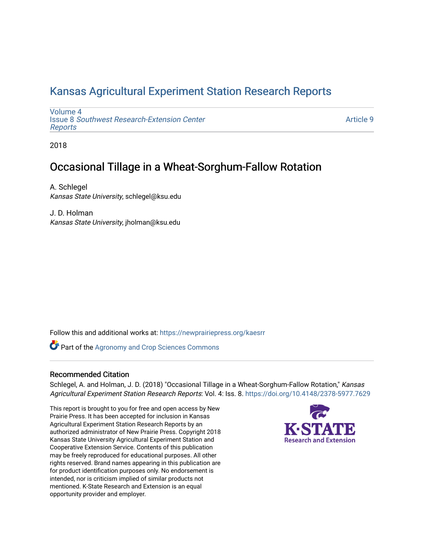# [Kansas Agricultural Experiment Station Research Reports](https://newprairiepress.org/kaesrr)

[Volume 4](https://newprairiepress.org/kaesrr/vol4) Issue 8 [Southwest Research-Extension Center](https://newprairiepress.org/kaesrr/vol4/iss8)  [Reports](https://newprairiepress.org/kaesrr/vol4/iss8)

[Article 9](https://newprairiepress.org/kaesrr/vol4/iss8/9) 

2018

# Occasional Tillage in a Wheat-Sorghum-Fallow Rotation

A. Schlegel Kansas State University, schlegel@ksu.edu

J. D. Holman Kansas State University, jholman@ksu.edu

Follow this and additional works at: [https://newprairiepress.org/kaesrr](https://newprairiepress.org/kaesrr?utm_source=newprairiepress.org%2Fkaesrr%2Fvol4%2Fiss8%2F9&utm_medium=PDF&utm_campaign=PDFCoverPages) 

Part of the [Agronomy and Crop Sciences Commons](http://network.bepress.com/hgg/discipline/103?utm_source=newprairiepress.org%2Fkaesrr%2Fvol4%2Fiss8%2F9&utm_medium=PDF&utm_campaign=PDFCoverPages) 

#### Recommended Citation

Schlegel, A. and Holman, J. D. (2018) "Occasional Tillage in a Wheat-Sorghum-Fallow Rotation," Kansas Agricultural Experiment Station Research Reports: Vol. 4: Iss. 8.<https://doi.org/10.4148/2378-5977.7629>

This report is brought to you for free and open access by New Prairie Press. It has been accepted for inclusion in Kansas Agricultural Experiment Station Research Reports by an authorized administrator of New Prairie Press. Copyright 2018 Kansas State University Agricultural Experiment Station and Cooperative Extension Service. Contents of this publication may be freely reproduced for educational purposes. All other rights reserved. Brand names appearing in this publication are for product identification purposes only. No endorsement is intended, nor is criticism implied of similar products not mentioned. K-State Research and Extension is an equal opportunity provider and employer.

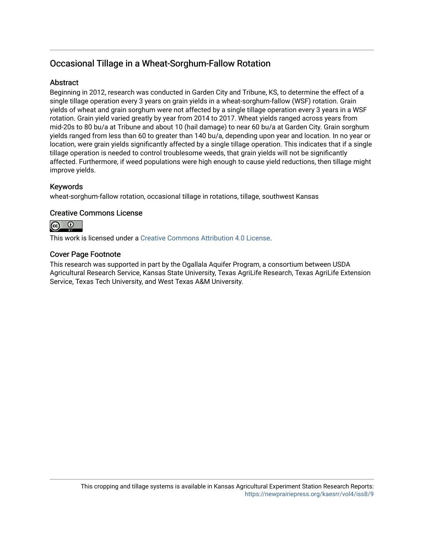# Occasional Tillage in a Wheat-Sorghum-Fallow Rotation

### **Abstract**

Beginning in 2012, research was conducted in Garden City and Tribune, KS, to determine the effect of a single tillage operation every 3 years on grain yields in a wheat-sorghum-fallow (WSF) rotation. Grain yields of wheat and grain sorghum were not affected by a single tillage operation every 3 years in a WSF rotation. Grain yield varied greatly by year from 2014 to 2017. Wheat yields ranged across years from mid-20s to 80 bu/a at Tribune and about 10 (hail damage) to near 60 bu/a at Garden City. Grain sorghum yields ranged from less than 60 to greater than 140 bu/a, depending upon year and location. In no year or location, were grain yields significantly affected by a single tillage operation. This indicates that if a single tillage operation is needed to control troublesome weeds, that grain yields will not be significantly affected. Furthermore, if weed populations were high enough to cause yield reductions, then tillage might improve yields.

### Keywords

wheat-sorghum-fallow rotation, occasional tillage in rotations, tillage, southwest Kansas

### Creative Commons License



This work is licensed under a [Creative Commons Attribution 4.0 License](https://creativecommons.org/licenses/by/4.0/).

### Cover Page Footnote

This research was supported in part by the Ogallala Aquifer Program, a consortium between USDA Agricultural Research Service, Kansas State University, Texas AgriLife Research, Texas AgriLife Extension Service, Texas Tech University, and West Texas A&M University.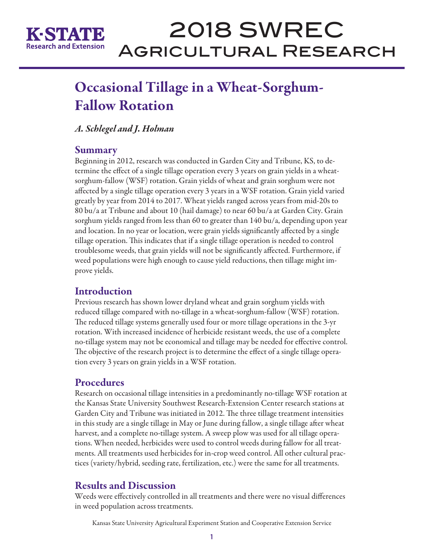

# 2018 SWREC Agricultural Research

# Occasional Tillage in a Wheat-Sorghum-Fallow Rotation

# *A. Schlegel and J. Holman*

### **Summary**

Beginning in 2012, research was conducted in Garden City and Tribune, KS, to determine the effect of a single tillage operation every 3 years on grain yields in a wheatsorghum-fallow (WSF) rotation. Grain yields of wheat and grain sorghum were not affected by a single tillage operation every 3 years in a WSF rotation. Grain yield varied greatly by year from 2014 to 2017. Wheat yields ranged across years from mid-20s to 80 bu/a at Tribune and about 10 (hail damage) to near 60 bu/a at Garden City. Grain sorghum yields ranged from less than 60 to greater than 140 bu/a, depending upon year and location. In no year or location, were grain yields significantly affected by a single tillage operation. This indicates that if a single tillage operation is needed to control troublesome weeds, that grain yields will not be significantly affected. Furthermore, if weed populations were high enough to cause yield reductions, then tillage might improve yields.

# Introduction

Previous research has shown lower dryland wheat and grain sorghum yields with reduced tillage compared with no-tillage in a wheat-sorghum-fallow (WSF) rotation. The reduced tillage systems generally used four or more tillage operations in the 3-yr rotation. With increased incidence of herbicide resistant weeds, the use of a complete no-tillage system may not be economical and tillage may be needed for effective control. The objective of the research project is to determine the effect of a single tillage operation every 3 years on grain yields in a WSF rotation.

# **Procedures**

Research on occasional tillage intensities in a predominantly no-tillage WSF rotation at the Kansas State University Southwest Research-Extension Center research stations at Garden City and Tribune was initiated in 2012. The three tillage treatment intensities in this study are a single tillage in May or June during fallow, a single tillage after wheat harvest, and a complete no-tillage system. A sweep plow was used for all tillage operations. When needed, herbicides were used to control weeds during fallow for all treatments. All treatments used herbicides for in-crop weed control. All other cultural practices (variety/hybrid, seeding rate, fertilization, etc.) were the same for all treatments.

# Results and Discussion

Weeds were effectively controlled in all treatments and there were no visual differences in weed population across treatments.

Kansas State University Agricultural Experiment Station and Cooperative Extension Service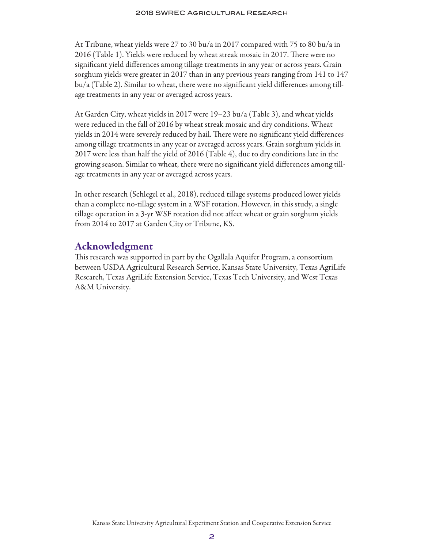At Tribune, wheat yields were 27 to 30 bu/a in 2017 compared with 75 to 80 bu/a in 2016 (Table 1). Yields were reduced by wheat streak mosaic in 2017. There were no significant yield differences among tillage treatments in any year or across years. Grain sorghum yields were greater in 2017 than in any previous years ranging from 141 to 147 bu/a (Table 2). Similar to wheat, there were no significant yield differences among tillage treatments in any year or averaged across years.

At Garden City, wheat yields in 2017 were 19–23 bu/a (Table 3), and wheat yields were reduced in the fall of 2016 by wheat streak mosaic and dry conditions. Wheat yields in 2014 were severely reduced by hail. There were no significant yield differences among tillage treatments in any year or averaged across years. Grain sorghum yields in 2017 were less than half the yield of 2016 (Table 4), due to dry conditions late in the growing season. Similar to wheat, there were no significant yield differences among tillage treatments in any year or averaged across years.

In other research (Schlegel et al., 2018), reduced tillage systems produced lower yields than a complete no-tillage system in a WSF rotation. However, in this study, a single tillage operation in a 3-yr WSF rotation did not affect wheat or grain sorghum yields from 2014 to 2017 at Garden City or Tribune, KS.

### Acknowledgment

This research was supported in part by the Ogallala Aquifer Program, a consortium between USDA Agricultural Research Service, Kansas State University, Texas AgriLife Research, Texas AgriLife Extension Service, Texas Tech University, and West Texas A&M University.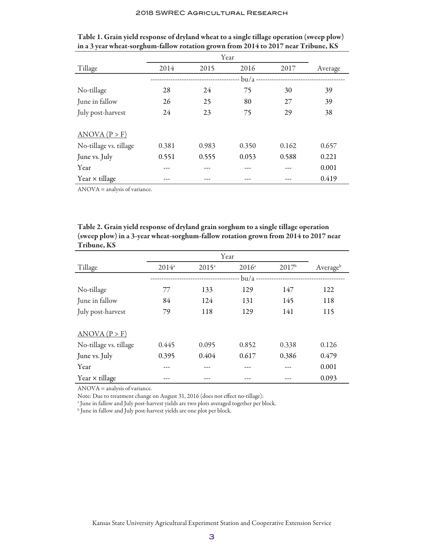|                        | Year  |       |       |       |         |
|------------------------|-------|-------|-------|-------|---------|
| Tillage                | 2014  | 2015  | 2016  | 2017  | Average |
|                        |       |       | bu/a  |       |         |
| No-tillage             | 28    | 24    | 75    | 30    | 39      |
| June in fallow         | 26    | 25    | 80    | 27    | 39      |
| July post-harvest      | 24    | 23    | 75    | 29    | 38      |
|                        |       |       |       |       |         |
| ANOVA (P > F)          |       |       |       |       |         |
| No-tillage vs. tillage | 0.381 | 0.983 | 0.350 | 0.162 | 0.657   |
| June vs. July          | 0.551 | 0.555 | 0.053 | 0.588 | 0.221   |
| Year                   |       |       |       |       | 0.001   |
| Year $\times$ tillage  |       | ---   |       |       | 0.419   |

Table 1. Grain yield response of dryland wheat to a single tillage operation (sweep plow) in a 3 year wheat-sorghum-fallow rotation grown from 2014 to 2017 near Tribune, KS

ANOVA = analysis of variance.

| Table 2. Grain yield response of dryland grain sorghum to a single tillage operation |
|--------------------------------------------------------------------------------------|
| (sweep plow) in a 3-year wheat-sorghum-fallow rotation grown from 2014 to 2017 near  |
| Tribune, KS                                                                          |

|                        | Year                   |          |          |          |          |  |
|------------------------|------------------------|----------|----------|----------|----------|--|
| Tillage                | $2014^a$               | $2015^a$ | $2016^a$ | $2017^b$ | Averageb |  |
|                        | $bu/a$ --------------- |          |          |          |          |  |
| No-tillage             | 77                     | 133      | 129      | 147      | 122      |  |
| June in fallow         | 84                     | 124      | 131      | 145      | 118      |  |
| July post-harvest      | 79                     | 118      | 129      | 141      | 115      |  |
| ANOVA (P > F)          |                        |          |          |          |          |  |
| No-tillage vs. tillage | 0.445                  | 0.095    | 0.852    | 0.338    | 0.126    |  |
| June vs. July          | 0.395                  | 0.404    | 0.617    | 0.386    | 0.479    |  |
| Year                   |                        |          |          |          | 0.001    |  |
| Year $\times$ tillage  |                        |          |          |          | 0.093    |  |

ANOVA = analysis of variance.

Note: Due to treatment change on August 31, 2016 (does not effect no-tillage):

a June in fallow and July post-harvest yields are two plots averaged together per block.

b June in fallow and July post-harvest yields are one plot per block.